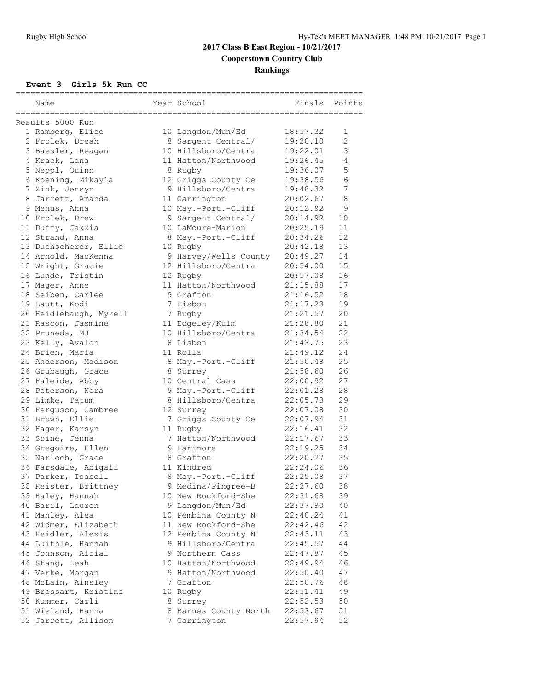# **2017 Class B East Region - 10/21/2017 Cooperstown Country Club Rankings**

#### **Event 3 Girls 5k Run CC**

| Name<br>---------------------------------- | Year School           | Finals   | Points |
|--------------------------------------------|-----------------------|----------|--------|
| Results 5000 Run                           |                       |          |        |
| 1 Ramberg, Elise                           | 10 Langdon/Mun/Ed     | 18:57.32 | 1      |
| 2 Frolek, Dreah                            | 8 Sargent Central/    | 19:20.10 | 2      |
| 3 Baesler, Reagan                          | 10 Hillsboro/Centra   | 19:22.01 | 3      |
| 4 Krack, Lana                              | 11 Hatton/Northwood   | 19:26.45 | 4      |
| 5 Neppl, Quinn                             | 8 Rugby               | 19:36.07 | 5      |
| 6 Koening, Mikayla                         | 12 Griggs County Ce   | 19:38.56 | 6      |
| 7 Zink, Jensyn                             | 9 Hillsboro/Centra    | 19:48.32 | 7      |
| 8 Jarrett, Amanda                          | 11 Carrington         | 20:02.67 | 8      |
| 9 Mehus, Ahna                              | 10 May.-Port.-Cliff   | 20:12.92 | 9      |
| 10 Frolek, Drew                            | 9 Sargent Central/    | 20:14.92 | 10     |
| 11 Duffy, Jakkia                           | 10 LaMoure-Marion     | 20:25.19 | 11     |
| 12 Strand, Anna                            | 8 May.-Port.-Cliff    | 20:34.26 | 12     |
| 13 Duchscherer, Ellie                      | 10 Rugby              | 20:42.18 | 13     |
| 14 Arnold, MacKenna                        | 9 Harvey/Wells County | 20:49.27 | 14     |
| 15 Wright, Gracie                          | 12 Hillsboro/Centra   | 20:54.00 | 15     |
| 16 Lunde, Tristin                          | 12 Rugby              | 20:57.08 | 16     |
| 17 Mager, Anne                             | 11 Hatton/Northwood   | 21:15.88 | 17     |
| 18 Seiben, Carlee                          | 9 Grafton             | 21:16.52 | 18     |
| 19 Lautt, Kodi                             | 7 Lisbon              | 21:17.23 | 19     |
| 20 Heidlebaugh, Mykell                     | 7 Rugby               | 21:21.57 | 20     |
| 21 Rascon, Jasmine                         | 11 Edgeley/Kulm       | 21:28.80 | 21     |
| 22 Pruneda, MJ                             | 10 Hillsboro/Centra   | 21:34.54 | 22     |
| 23 Kelly, Avalon                           | 8 Lisbon              | 21:43.75 | 23     |
| 24 Brien, Maria                            | 11 Rolla              | 21:49.12 | 24     |
| 25 Anderson, Madison                       | 8 May.-Port.-Cliff    | 21:50.48 | 25     |
| 26 Grubaugh, Grace                         | 8 Surrey              | 21:58.60 | 26     |
| 27 Faleide, Abby                           | 10 Central Cass       | 22:00.92 | 27     |
| 28 Peterson, Nora                          | 9 May.-Port.-Cliff    | 22:01.28 | 28     |
| 29 Limke, Tatum                            | 8 Hillsboro/Centra    | 22:05.73 | 29     |
| 30 Ferguson, Cambree                       | 12 Surrey             | 22:07.08 | 30     |
| 31 Brown, Ellie                            | 7 Griggs County Ce    | 22:07.94 | 31     |
| 32 Hager, Karsyn                           | 11 Rugby              | 22:16.41 | 32     |
| 33 Soine, Jenna                            | 7 Hatton/Northwood    | 22:17.67 | 33     |
| 34 Gregoire, Ellen                         | 9 Larimore            | 22:19.25 | 34     |
| 35 Narloch, Grace                          | 8 Grafton             | 22:20.27 | 35     |
| 36 Farsdale, Abigail                       | 11 Kindred            | 22:24.06 | 36     |
| 37 Parker, Isabell                         | 8 May.-Port.-Cliff    | 22:25.08 | 37     |
| 38 Reister, Brittney                       | 9 Medina/Pingree-B    | 22:27.60 | 38     |
| 39 Haley, Hannah                           | 10 New Rockford-She   | 22:31.68 | 39     |
| 40 Baril, Lauren                           | 9 Langdon/Mun/Ed      | 22:37.80 | 40     |
| 41 Manley, Alea                            | 10 Pembina County N   | 22:40.24 | 41     |
| 42 Widmer, Elizabeth                       | 11 New Rockford-She   | 22:42.46 | 42     |
| 43 Heidler, Alexis                         | 12 Pembina County N   | 22:43.11 | 43     |
| 44 Luithle, Hannah                         | 9 Hillsboro/Centra    | 22:45.57 | 44     |
| 45 Johnson, Airial                         | 9 Northern Cass       | 22:47.87 | 45     |
| 46 Stang, Leah                             | 10 Hatton/Northwood   | 22:49.94 | 46     |
| 47 Verke, Morgan                           | 9 Hatton/Northwood    | 22:50.40 | 47     |
| 48 McLain, Ainsley                         | 7 Grafton             | 22:50.76 | 48     |
| 49 Brossart, Kristina                      | 10 Rugby              | 22:51.41 | 49     |
| 50 Kummer, Carli                           | 8 Surrey              | 22:52.53 | 50     |
| 51 Wieland, Hanna                          | 8 Barnes County North | 22:53.67 | 51     |
| 52 Jarrett, Allison                        | 7 Carrington          | 22:57.94 | 52     |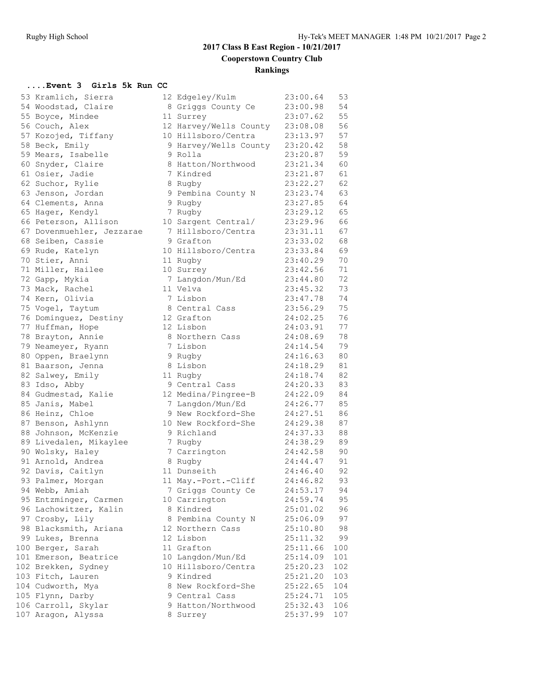# **2017 Class B East Region - 10/21/2017 Cooperstown Country Club Rankings**

#### **....Event 3 Girls 5k Run CC**

| 53 | Kramlich, Sierra               |
|----|--------------------------------|
| 54 | Woodstad, Claire               |
| 55 | Boyce, Mindee                  |
|    | 56 Couch, Alex                 |
| 57 | Kozojed, Tiffany               |
| 58 |                                |
| 59 | Beck, Emily<br>Mears, Isabelle |
|    | 60 Snyder, Claire              |
|    |                                |
|    | 61 Osier, Jadie                |
|    | 62 Suchor, Rylie               |
|    | 63 Jenson, Jordan              |
| 64 | Clements, Anna                 |
|    | 65 Hager, Kendyl               |
|    | 66 Peterson, Allison           |
|    | 67 Dovenmuehler, Jezzarae      |
|    | 68 Seiben, Cassie              |
| 69 | Rude, Katelyn                  |
| 70 | Stier, Anni                    |
| 71 | Miller, Hailee                 |
|    | 72 Gapp, Mykia                 |
| 73 | Mack, Rachel                   |
| 74 | Kern, Olivia                   |
| 75 | Vogel, Taytum                  |
| 76 | Dominguez, Destiny             |
| 77 | Huffman, Hope                  |
| 78 | Brayton, Annie                 |
| 79 | Neameyer, Ryann                |
| 80 |                                |
|    | Oppen, Braelynn                |
| 81 | Baarson, Jenna                 |
| 82 | Salwey, Emily                  |
|    | 83 Idso, Abby                  |
|    | 84 Gudmestad, Kalie            |
|    | 85 Janis, Mabel                |
|    | 86 Heinz, Chloe                |
| 87 | Benson, Ashlynn                |
| 88 | Johnson, McKenzie              |
|    | 89 Livedalen, Mikaylee         |
|    | 90 Wolsky, Haley               |
|    | 91 Arnold, Andrea              |
|    | 92 Davis, Caitlyn              |
| 93 | Palmer, Morgan                 |
| 94 | Webb, Amiah                    |
| 95 | Entzminger, Carmen             |
| 96 | Lachowitzer, Kalin             |
| 97 | Crosby, Lily                   |
| 98 | Blacksmith, Ariana             |
| 99 |                                |
| 00 | Lukes, Brenna<br>Berger, Sarah |
| 01 | Emerson, Beatrice              |
|    | Brekken, Sydney                |
| 02 |                                |
| 03 | Fitch, Lauren                  |
| 04 | Cudworth, Mya                  |
| 05 | Flynn, Darby                   |
| 06 | Carroll, Skylar                |
| 07 | Aragon, Alyssa                 |
|    |                                |

| 53 Kramlich, Sierra       | 12 Edgeley/Kulm        | 23:00.64 | 53  |
|---------------------------|------------------------|----------|-----|
| 54 Woodstad, Claire       | 8 Griggs County Ce     | 23:00.98 | 54  |
| 55 Boyce, Mindee          | 11 Surrey              | 23:07.62 | 55  |
| 56 Couch, Alex            | 12 Harvey/Wells County | 23:08.08 | 56  |
| 57 Kozojed, Tiffany       | 10 Hillsboro/Centra    | 23:13.97 | 57  |
| 58 Beck, Emily            | 9 Harvey/Wells County  | 23:20.42 | 58  |
| 59 Mears, Isabelle        | 9 Rolla                | 23:20.87 | 59  |
|                           | 8 Hatton/Northwood     | 23:21.34 | 60  |
| 60 Snyder, Claire         |                        |          |     |
| 61 Osier, Jadie           | 7 Kindred              | 23:21.87 | 61  |
| 62 Suchor, Rylie          | 8 Rugby                | 23:22.27 | 62  |
| 63 Jenson, Jordan         | 9 Pembina County N     | 23:23.74 | 63  |
| 64 Clements, Anna         | 9 Rugby                | 23:27.85 | 64  |
| 65 Hager, Kendyl          | 7 Rugby                | 23:29.12 | 65  |
| 66 Peterson, Allison      | 10 Sargent Central/    | 23:29.96 | 66  |
| 67 Dovenmuehler, Jezzarae | 7 Hillsboro/Centra     | 23:31.11 | 67  |
| 68 Seiben, Cassie         | 9 Grafton              | 23:33.02 | 68  |
| 69 Rude, Katelyn          | 10 Hillsboro/Centra    | 23:33.84 | 69  |
| 70 Stier, Anni            | 11 Rugby               | 23:40.29 | 70  |
| 71 Miller, Hailee         | 10 Surrey              | 23:42.56 | 71  |
| 72 Gapp, Mykia            | 7 Langdon/Mun/Ed       | 23:44.80 | 72  |
| 73 Mack, Rachel           | 11 Velva               | 23:45.32 | 73  |
| 74 Kern, Olivia           | 7 Lisbon               | 23:47.78 | 74  |
| 75 Vogel, Taytum          | 8 Central Cass         | 23:56.29 | 75  |
| 76 Dominguez, Destiny     | 12 Grafton             | 24:02.25 | 76  |
| 77 Huffman, Hope          | 12 Lisbon              | 24:03.91 | 77  |
| 78 Brayton, Annie         | 8 Northern Cass        | 24:08.69 | 78  |
|                           |                        |          |     |
| 79 Neameyer, Ryann        | 7 Lisbon               | 24:14.54 | 79  |
| 80 Oppen, Braelynn        | 9 Rugby                | 24:16.63 | 80  |
| 81 Baarson, Jenna         | 8 Lisbon               | 24:18.29 | 81  |
| 82 Salwey, Emily          | 11 Rugby               | 24:18.74 | 82  |
| 83 Idso, Abby             | 9 Central Cass         | 24:20.33 | 83  |
| 84 Gudmestad, Kalie       | 12 Medina/Pingree-B    | 24:22.09 | 84  |
| 85 Janis, Mabel           | 7 Langdon/Mun/Ed       | 24:26.77 | 85  |
| 86 Heinz, Chloe           | 9 New Rockford-She     | 24:27.51 | 86  |
| 87 Benson, Ashlynn        | 10 New Rockford-She    | 24:29.38 | 87  |
| 88 Johnson, McKenzie      | 9 Richland             | 24:37.33 | 88  |
| 89 Livedalen, Mikaylee    | 7 Rugby                | 24:38.29 | 89  |
| 90 Wolsky, Haley          | 7 Carrington           | 24:42.58 | 90  |
| 91 Arnold, Andrea         | 8 Rugby                | 24:44.47 | 91  |
| 92 Davis, Caitlyn         | 11 Dunseith            | 24:46.40 | 92  |
| 93 Palmer, Morgan         | 11 May.-Port.-Cliff    | 24:46.82 | 93  |
| 94 Webb, Amiah            | 7 Griggs County Ce     | 24:53.17 | 94  |
| 95 Entzminger, Carmen     | 10 Carrington          | 24:59.74 | 95  |
| 96 Lachowitzer, Kalin     | 8 Kindred              | 25:01.02 | 96  |
| 97 Crosby, Lily           | 8 Pembina County N     | 25:06.09 | 97  |
| 98 Blacksmith, Ariana     | 12 Northern Cass       | 25:10.80 | 98  |
|                           | 12 Lisbon              |          |     |
| 99 Lukes, Brenna          |                        | 25:11.32 | 99  |
| 100 Berger, Sarah         | 11 Grafton             | 25:11.66 | 100 |
| 101 Emerson, Beatrice     | 10 Langdon/Mun/Ed      | 25:14.09 | 101 |
| 102 Brekken, Sydney       | 10 Hillsboro/Centra    | 25:20.23 | 102 |
| 103 Fitch, Lauren         | 9 Kindred              | 25:21.20 | 103 |
| 104 Cudworth, Mya         | 8 New Rockford-She     | 25:22.65 | 104 |
| 105 Flynn, Darby          | 9 Central Cass         | 25:24.71 | 105 |
| 106 Carroll, Skylar       | 9 Hatton/Northwood     | 25:32.43 | 106 |
| 107 Aragon, Alyssa        | 8 Surrey               | 25:37.99 | 107 |
|                           |                        |          |     |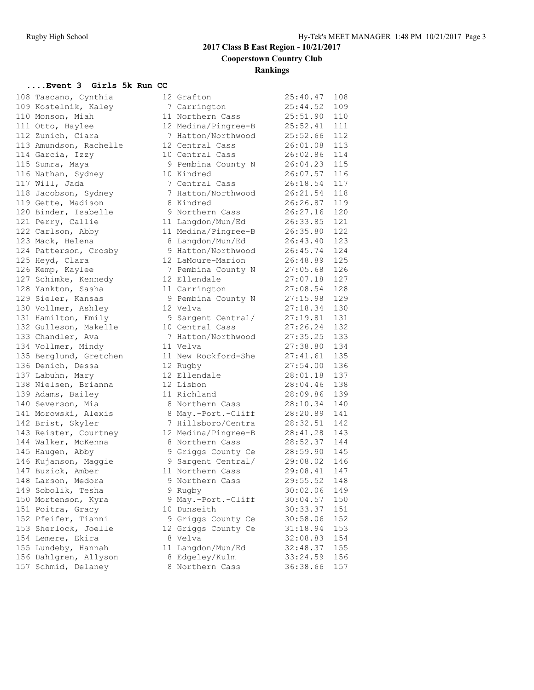## **2017 Class B East Region - 10/21/2017 Cooperstown Country Club Rankings**

#### **....Event 3 Girls 5k Run CC**

|     | 108 Tascano, Cynthia                        |
|-----|---------------------------------------------|
| 109 | Kostelnik, Kaley                            |
|     | 110 Monson, Miah                            |
|     | 111 Otto, Haylee                            |
|     | Zunich, Ciara                               |
|     | 112 Zunich, Ciara<br>113 Amundson, Rachelle |
|     | 114 Garcia, Izzy                            |
|     | 115 Sumra, Maya                             |
| 116 | Nathan, Sydney                              |
| 117 | Will, Jada                                  |
| 118 | Jacobson, Sydney                            |
|     | 119 Gette, Madison                          |
| 120 | Binder, Isabelle                            |
|     | 121 Perry, Callie                           |
|     | 122 Carlson, Abby                           |
| 123 | Mack, Helena                                |
| 124 | Patterson, Crosby                           |
| 125 | Heyd, Clara                                 |
| 126 | Kemp, Kaylee                                |
| 127 | Schimke, Kennedy                            |
| 128 | Yankton, Sasha                              |
| 129 | Sieler, Kansas                              |
|     | 130 Vollmer, Ashley                         |
| 131 | Hamilton, Emily                             |
|     | 132 Gulleson, Makelle                       |
|     | 133 Chandler, Ava                           |
| 134 | Vollmer, Mindy                              |
| 135 | Berglund, Gretchen                          |
| 136 |                                             |
| 137 | Denich, Dessa<br>Labuhn, Mary               |
| 138 | Nielsen, Brianna                            |
| 139 | Adams, Bailey                               |
|     | 140 Severson, Mia                           |
|     | 141 Morowski, Alexis                        |
|     | 142 Brist, Skyler                           |
|     | ---<br>143 Reister, Courtney                |
|     | 144 Walker, McKenna                         |
|     | 145 Haugen, Abby                            |
|     | 146 Kujanson, Maggie                        |
|     | 147 Buzick, Amber                           |
| 148 | Larson, Medora<br>Sobolik, Tesha            |
| 149 |                                             |
| 150 | Mortenson, Kyra                             |
| 151 | Poitra, Gracy                               |
|     | 152 Pfeifer, Tianni                         |
| 153 | Sherlock, Joelle                            |
| 154 | Lemere, Ekira                               |
| 155 | Lundeby, Hannah                             |
| 156 | Dahlgren, Allyson                           |
| 157 | Schmid, Delaney                             |

| 108 Tascano, Cynthia   | 12 Grafton          | 25:40.47     | 108 |
|------------------------|---------------------|--------------|-----|
| 109 Kostelnik, Kaley   | 7 Carrington        | 25:44.52     | 109 |
| 110 Monson, Miah       | 11 Northern Cass    | 25:51.90     | 110 |
| 111 Otto, Haylee       | 12 Medina/Pingree-B | 25:52.41     | 111 |
| 112 Zunich, Ciara      | 7 Hatton/Northwood  | 25:52.66     | 112 |
| 113 Amundson, Rachelle | 12 Central Cass     | 26:01.08     | 113 |
| 114 Garcia, Izzy       | 10 Central Cass     | 26:02.86     | 114 |
| 115 Sumra, Maya        | 9 Pembina County N  | 26:04.23 115 |     |
| 116 Nathan, Sydney     | 10 Kindred          | 26:07.57     | 116 |
| 117 Will, Jada         | 7 Central Cass      | 26:18.54     | 117 |
| 118 Jacobson, Sydney   | 7 Hatton/Northwood  | 26:21.54     | 118 |
| 119 Gette, Madison     | 8 Kindred           | 26:26.87     | 119 |
| 120 Binder, Isabelle   | 9 Northern Cass     | 26:27.16     | 120 |
| 121 Perry, Callie      | 11 Langdon/Mun/Ed   | 26:33.85     | 121 |
| 122 Carlson, Abby      | 11 Medina/Pingree-B | 26:35.80     | 122 |
| 123 Mack, Helena       | 8 Langdon/Mun/Ed    | 26:43.40     | 123 |
| 124 Patterson, Crosby  | 9 Hatton/Northwood  | 26:45.74     | 124 |
| 125 Heyd, Clara        | 12 LaMoure-Marion   | 26:48.89     | 125 |
| 126 Kemp, Kaylee       | 7 Pembina County N  | 27:05.68     | 126 |
| 127 Schimke, Kennedy   | 12 Ellendale        | 27:07.18     | 127 |
| 128 Yankton, Sasha     | 11 Carrington       | 27:08.54     | 128 |
| 129 Sieler, Kansas     | 9 Pembina County N  | 27:15.98     | 129 |
| 130 Vollmer, Ashley    | 12 Velva            | 27:18.34     | 130 |
| 131 Hamilton, Emily    | 9 Sargent Central/  | 27:19.81     | 131 |
| 132 Gulleson, Makelle  | 10 Central Cass     | 27:26.24 132 |     |
| 133 Chandler, Ava      | 7 Hatton/Northwood  | 27:35.25     | 133 |
| 134 Vollmer, Mindy     | 11 Velva            | 27:38.80     | 134 |
| 135 Berglund, Gretchen | 11 New Rockford-She | 27:41.61     | 135 |
| 136 Denich, Dessa      | 12 Rugby            | 27:54.00     | 136 |
| 137 Labuhn, Mary       | 12 Ellendale        | 28:01.18     | 137 |
| 138 Nielsen, Brianna   | 12 Lisbon           | 28:04.46 138 |     |
| 139 Adams, Bailey      | 11 Richland         | 28:09.86     | 139 |
| 140 Severson, Mia      | 8 Northern Cass     | 28:10.34     | 140 |
| 141 Morowski, Alexis   | 8 May.-Port.-Cliff  | 28:20.89     | 141 |
| 142 Brist, Skyler      | 7 Hillsboro/Centra  | 28:32.51     | 142 |
| 143 Reister, Courtney  | 12 Medina/Pingree-B | 28:41.28 143 |     |
| 144 Walker, McKenna    | 8 Northern Cass     | 28:52.37 144 |     |
| 145 Haugen, Abby       | 9 Griggs County Ce  | 28:59.90 145 |     |
| 146 Kujanson, Maggie   | 9 Sargent Central/  | 29:08.02     | 146 |
| 147 Buzick, Amber      | 11 Northern Cass    | 29:08.41     | 147 |
|                        |                     |              |     |
| 148 Larson, Medora     | 9 Northern Cass     | 29:55.52     | 148 |
| 149 Sobolik, Tesha     | 9 Rugby             | 30:02.06     | 149 |
| 150 Mortenson, Kyra    | 9 May.-Port.-Cliff  | 30:04.57     | 150 |
| 151 Poitra, Gracy      | 10 Dunseith         | 30:33.37     | 151 |
| 152 Pfeifer, Tianni    | 9 Griggs County Ce  | 30:58.06     | 152 |
| 153 Sherlock, Joelle   | 12 Griggs County Ce | 31:18.94     | 153 |
| 154 Lemere, Ekira      | 8 Velva             | 32:08.83     | 154 |
| 155 Lundeby, Hannah    | 11 Langdon/Mun/Ed   | 32:48.37     | 155 |
| 156 Dahlgren, Allyson  | 8 Edgeley/Kulm      | 33:24.59     | 156 |
| 157 Schmid, Delaney    | 8 Northern Cass     | 36:38.66     | 157 |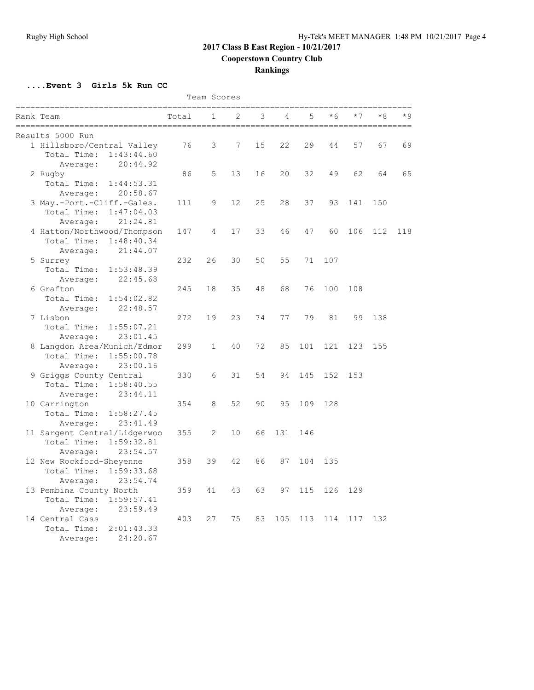## **2017 Class B East Region - 10/21/2017**

**Cooperstown Country Club**

## **Rankings**

**....Event 3 Girls 5k Run CC**

| Team Scores |                              |       |              |    |    |     |     |      |      |      |      |
|-------------|------------------------------|-------|--------------|----|----|-----|-----|------|------|------|------|
|             | Rank Team                    | Total | $\mathbf 1$  | 2  | 3  | 4   | 5   | $*6$ | $*7$ | $*8$ | $*9$ |
|             | Results 5000 Run             |       |              |    |    |     |     |      |      |      |      |
|             | 1 Hillsboro/Central Valley   | 76    | 3            | 7  | 15 | 22  | 29  | 44   | 57   | 67   | 69   |
|             | Total Time:<br>1:43:44.60    |       |              |    |    |     |     |      |      |      |      |
|             | Average:<br>20:44.92         |       |              |    |    |     |     |      |      |      |      |
|             | 2 Rugby                      | 86    | 5            | 13 | 16 | 20  | 32  | 49   | 62   | 64   | 65   |
|             | Total Time:<br>1:44:53.31    |       |              |    |    |     |     |      |      |      |      |
|             | 20:58.67<br>Average:         |       |              |    |    |     |     |      |      |      |      |
|             | 3 May.-Port.-Cliff.-Gales.   | 111   | 9            | 12 | 25 | 28  | 37  | 93   | 141  | 150  |      |
|             | Total Time:<br>1:47:04.03    |       |              |    |    |     |     |      |      |      |      |
|             | 21:24.81<br>Average:         |       |              |    |    |     |     |      |      |      |      |
|             | 4 Hatton/Northwood/Thompson  | 147   | 4            | 17 | 33 | 46  | 47  | 60   | 106  | 112  | 118  |
|             | Total Time:<br>1:48:40.34    |       |              |    |    |     |     |      |      |      |      |
|             | 21:44.07<br>Average:         |       |              |    |    |     |     |      |      |      |      |
|             | 5 Surrey                     | 232   | 26           | 30 | 50 | 55  | 71  | 107  |      |      |      |
|             | Total Time:<br>1:53:48.39    |       |              |    |    |     |     |      |      |      |      |
|             | 22:45.68<br>Average:         |       |              |    |    |     |     |      |      |      |      |
|             | 6 Grafton                    | 245   | 18           | 35 | 48 | 68  | 76  | 100  | 108  |      |      |
|             | Total Time:<br>1:54:02.82    |       |              |    |    |     |     |      |      |      |      |
|             | 22:48.57<br>Average:         |       |              |    |    |     |     |      |      |      |      |
|             | 7 Lisbon                     | 272   | 19           | 23 | 74 | 77  | 79  | 81   | 99   | 138  |      |
|             | Total Time:<br>1:55:07.21    |       |              |    |    |     |     |      |      |      |      |
|             | 23:01.45<br>Average:         |       |              |    |    |     |     |      |      |      |      |
|             | 8 Langdon Area/Munich/Edmor  | 299   | $\mathbf{1}$ | 40 | 72 | 85  | 101 | 121  | 123  | 155  |      |
|             | Total Time:<br>1:55:00.78    |       |              |    |    |     |     |      |      |      |      |
|             | 23:00.16<br>Average:         |       |              |    |    |     |     |      |      |      |      |
|             | 9 Griggs County Central      | 330   | 6            | 31 | 54 | 94  | 145 | 152  | 153  |      |      |
|             | Total Time:<br>1:58:40.55    |       |              |    |    |     |     |      |      |      |      |
|             | 23:44.11<br>Average:         |       |              |    |    |     |     |      |      |      |      |
|             | 10 Carrington                | 354   | 8            | 52 | 90 | 95  | 109 | 128  |      |      |      |
|             | Total Time:<br>1:58:27.45    |       |              |    |    |     |     |      |      |      |      |
|             | 23:41.49<br>Average:         |       |              |    |    |     |     |      |      |      |      |
|             | 11 Sargent Central/Lidgerwoo | 355   | 2            | 10 | 66 | 131 | 146 |      |      |      |      |
|             | Total Time:<br>1:59:32.81    |       |              |    |    |     |     |      |      |      |      |
|             | 23:54.57<br>Average:         |       |              |    |    |     |     |      |      |      |      |
|             | 12 New Rockford-Sheyenne     | 358   | 39           | 42 | 86 | 87  | 104 | 135  |      |      |      |
|             | Total Time:<br>1:59:33.68    |       |              |    |    |     |     |      |      |      |      |
|             | 23:54.74<br>Average:         |       |              |    |    |     |     |      |      |      |      |
|             | 13 Pembina County North      | 359   | 41           | 43 | 63 | 97  | 115 | 126  | 129  |      |      |
|             | Total Time:<br>1:59:57.41    |       |              |    |    |     |     |      |      |      |      |
|             | 23:59.49<br>Average:         |       |              |    |    |     |     |      |      |      |      |
|             | 14 Central Cass              | 403   | 27           | 75 | 83 | 105 | 113 | 114  | 117  | 132  |      |
|             | Total Time:<br>2:01:43.33    |       |              |    |    |     |     |      |      |      |      |
|             | 24:20.67<br>Average:         |       |              |    |    |     |     |      |      |      |      |
|             |                              |       |              |    |    |     |     |      |      |      |      |